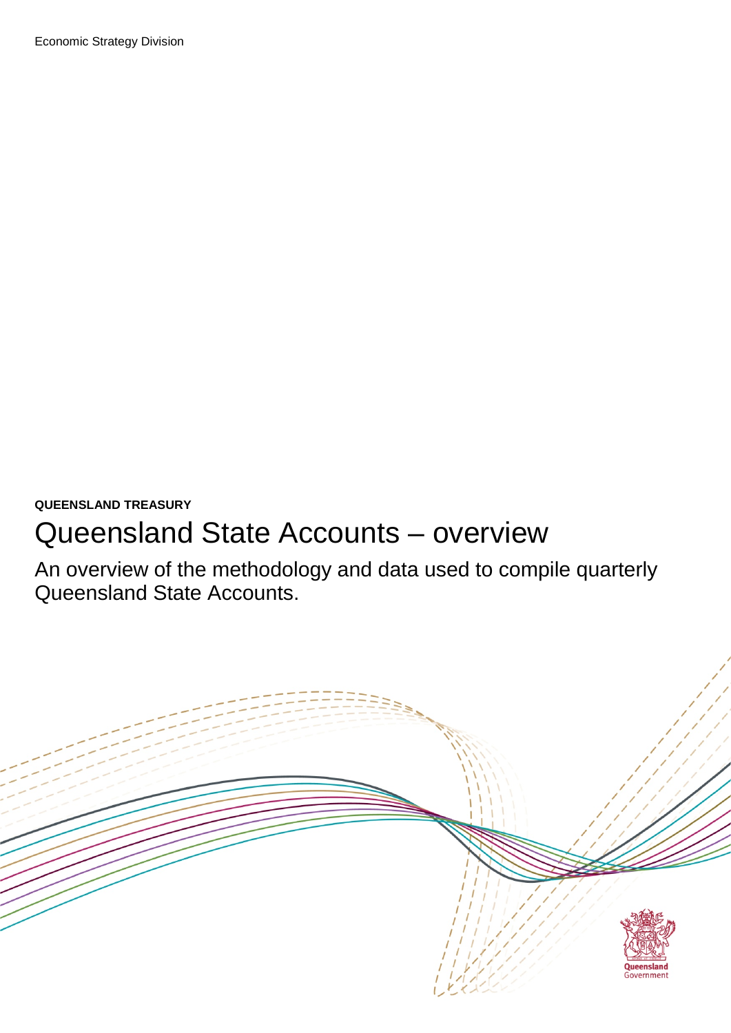### **QUEENSLAND TREASURY**

# Queensland State Accounts – overview

An overview of the methodology and data used to compile quarterly Queensland State Accounts.

<span id="page-0-0"></span>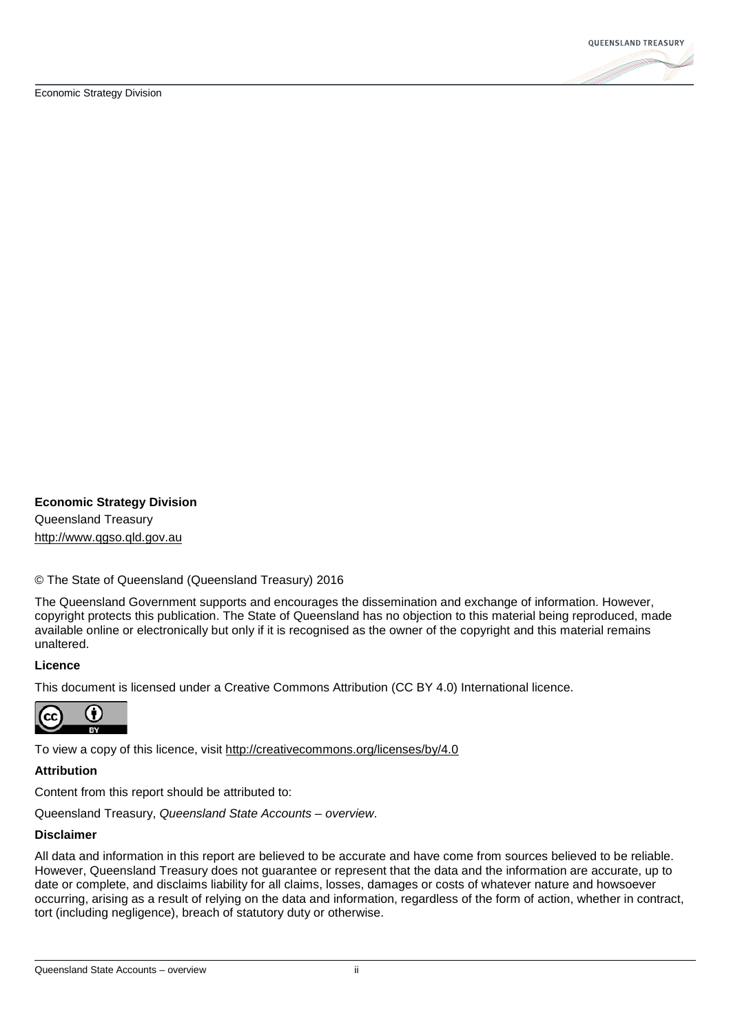

#### **Economic Strategy Division**

Queensland Treasury [http://www.qgso.qld.gov.au](http://www.qgso.qld.gov.au/)

#### © The State of Queensland (Queensland Treasury) 2016

The Queensland Government supports and encourages the dissemination and exchange of information. However, copyright protects this publication. The State of Queensland has no objection to this material being reproduced, made available online or electronically but only if it is recognised as the owner of the copyright and this material remains unaltered.

#### **Licence**

This document is licensed under a Creative Commons Attribution (CC BY 4.0) International licence.



To view a copy of this licence, visit<http://creativecommons.org/licenses/by/4.0>

#### **Attribution**

Content from this report should be attributed to:

Queensland Treasury, *Queensland State Accounts – overview*.

#### **Disclaimer**

All data and information in this report are believed to be accurate and have come from sources believed to be reliable. However, Queensland Treasury does not guarantee or represent that the data and the information are accurate, up to date or complete, and disclaims liability for all claims, losses, damages or costs of whatever nature and howsoever occurring, arising as a result of relying on the data and information, regardless of the form of action, whether in contract, tort (including negligence), breach of statutory duty or otherwise.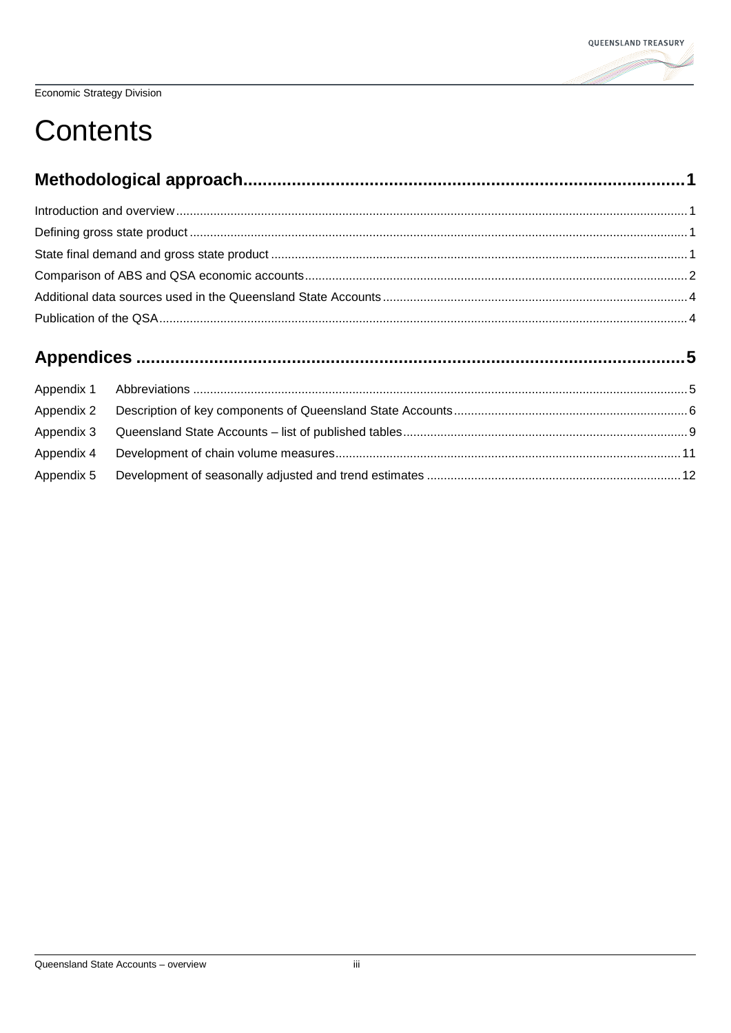

# **Contents**

| Appendix 1 |  |  |  |  |
|------------|--|--|--|--|
| Appendix 2 |  |  |  |  |
| Appendix 3 |  |  |  |  |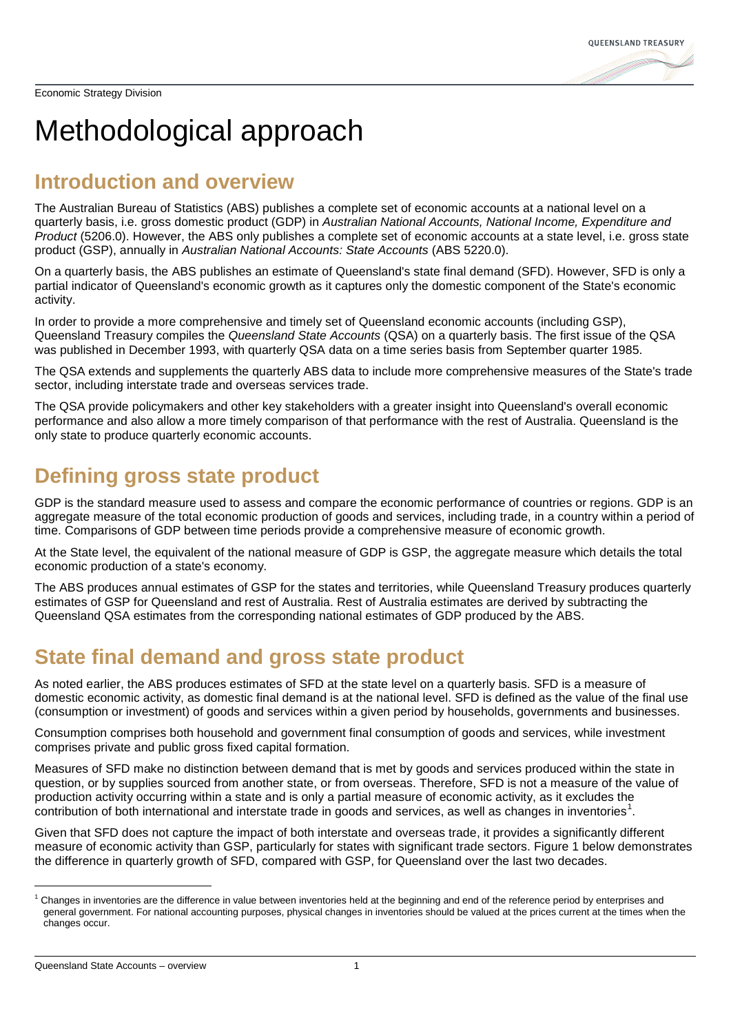# <span id="page-3-0"></span>Methodological approach

### <span id="page-3-1"></span>**Introduction and overview**

The Australian Bureau of Statistics (ABS) publishes a complete set of economic accounts at a national level on a quarterly basis, i.e. gross domestic product (GDP) in *Australian National Accounts, National Income, Expenditure and Product* (5206.0). However, the ABS only publishes a complete set of economic accounts at a state level, i.e. gross state product (GSP), annually in *Australian National Accounts: State Accounts* (ABS 5220.0).

On a quarterly basis, the ABS publishes an estimate of Queensland's state final demand (SFD). However, SFD is only a partial indicator of Queensland's economic growth as it captures only the domestic component of the State's economic activity.

In order to provide a more comprehensive and timely set of Queensland economic accounts (including GSP), Queensland Treasury compiles the *Queensland State Accounts* (QSA) on a quarterly basis. The first issue of the QSA was published in December 1993, with quarterly QSA data on a time series basis from September quarter 1985.

The QSA extends and supplements the quarterly ABS data to include more comprehensive measures of the State's trade sector, including interstate trade and overseas services trade.

The QSA provide policymakers and other key stakeholders with a greater insight into Queensland's overall economic performance and also allow a more timely comparison of that performance with the rest of Australia. Queensland is the only state to produce quarterly economic accounts.

### <span id="page-3-2"></span>**Defining gross state product**

GDP is the standard measure used to assess and compare the economic performance of countries or regions. GDP is an aggregate measure of the total economic production of goods and services, including trade, in a country within a period of time. Comparisons of GDP between time periods provide a comprehensive measure of economic growth.

At the State level, the equivalent of the national measure of GDP is GSP, the aggregate measure which details the total economic production of a state's economy.

The ABS produces annual estimates of GSP for the states and territories, while Queensland Treasury produces quarterly estimates of GSP for Queensland and rest of Australia. Rest of Australia estimates are derived by subtracting the Queensland QSA estimates from the corresponding national estimates of GDP produced by the ABS.

## <span id="page-3-3"></span>**State final demand and gross state product**

As noted earlier, the ABS produces estimates of SFD at the state level on a quarterly basis. SFD is a measure of domestic economic activity, as domestic final demand is at the national level. SFD is defined as the value of the final use (consumption or investment) of goods and services within a given period by households, governments and businesses.

Consumption comprises both household and government final consumption of goods and services, while investment comprises private and public gross fixed capital formation.

Measures of SFD make no distinction between demand that is met by goods and services produced within the state in question, or by supplies sourced from another state, or from overseas. Therefore, SFD is not a measure of the value of production activity occurring within a state and is only a partial measure of economic activity, as it excludes the contribution of both international and interstate trade in goods and services, as well as changes in inventories<sup>[1](#page-0-0)</sup>.

Given that SFD does not capture the impact of both interstate and overseas trade, it provides a significantly different measure of economic activity than GSP, particularly for states with significant trade sectors. Figure 1 below demonstrates the difference in quarterly growth of SFD, compared with GSP, for Queensland over the last two decades.

<span id="page-3-4"></span> $1$  Changes in inventories are the difference in value between inventories held at the beginning and end of the reference period by enterprises and general government. For national accounting purposes, physical changes in inventories should be valued at the prices current at the times when the changes occur.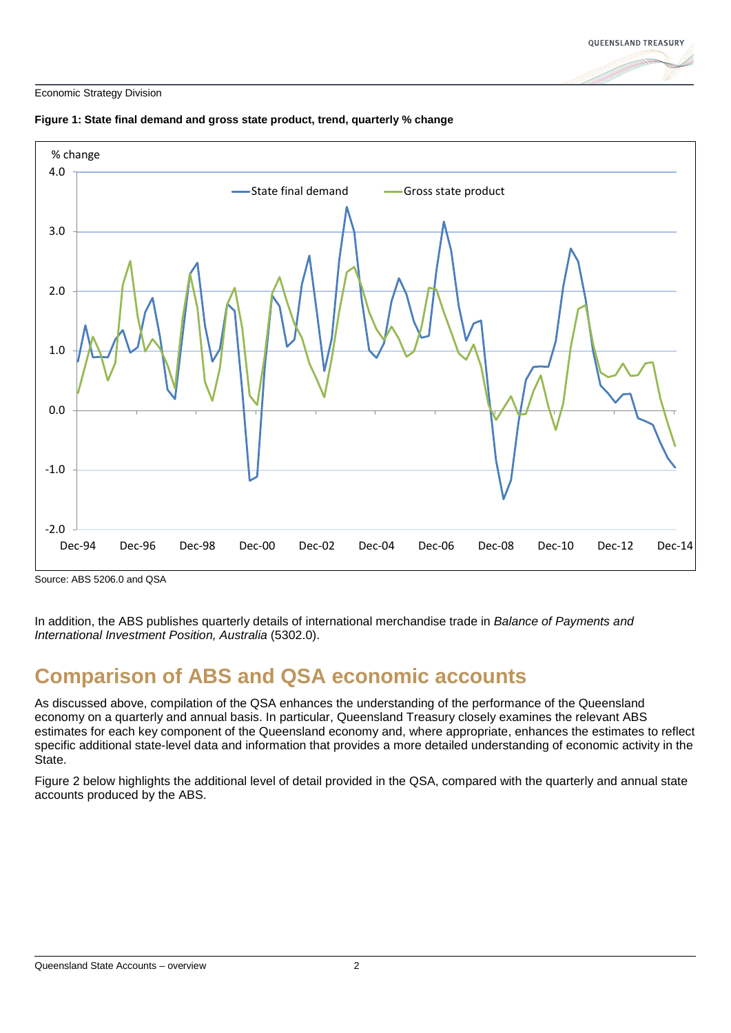



#### **Figure 1: State final demand and gross state product, trend, quarterly % change**

Source: ABS 5206.0 and QSA

In addition, the ABS publishes quarterly details of international merchandise trade in *Balance of Payments and International Investment Position, Australia* (5302.0).

### <span id="page-4-0"></span>**Comparison of ABS and QSA economic accounts**

As discussed above, compilation of the QSA enhances the understanding of the performance of the Queensland economy on a quarterly and annual basis. In particular, Queensland Treasury closely examines the relevant ABS estimates for each key component of the Queensland economy and, where appropriate, enhances the estimates to reflect specific additional state-level data and information that provides a more detailed understanding of economic activity in the State.

Figure 2 below highlights the additional level of detail provided in the QSA, compared with the quarterly and annual state accounts produced by the ABS.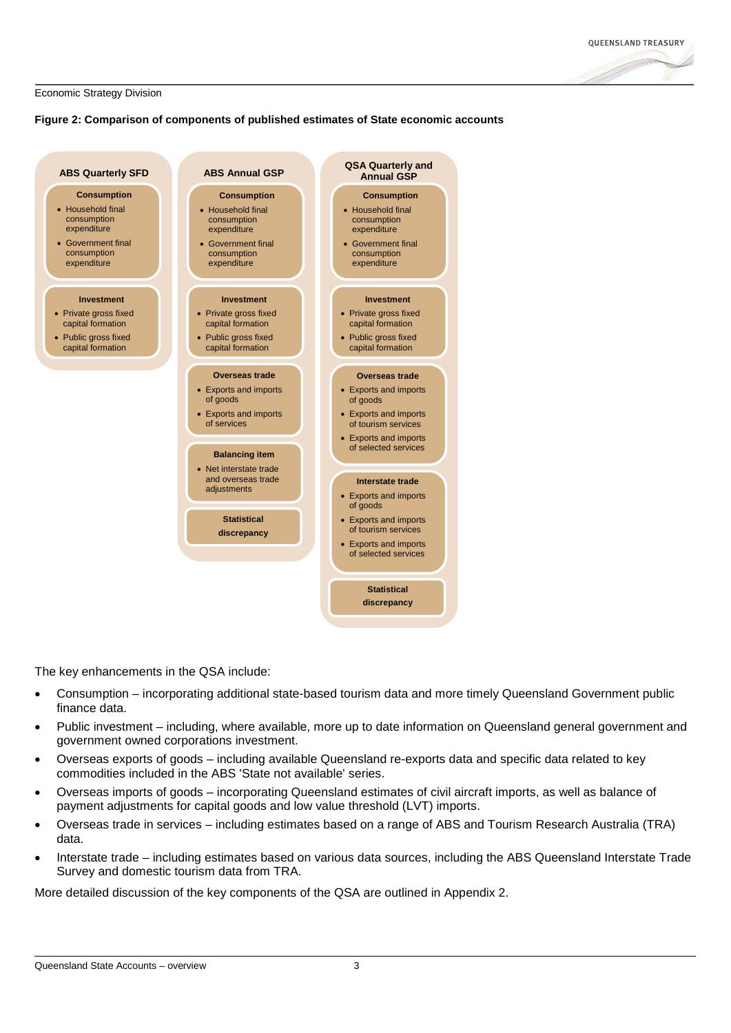

#### **Figure 2: Comparison of components of published estimates of State economic accounts**



The key enhancements in the QSA include:

- Consumption incorporating additional state-based tourism data and more timely Queensland Government public finance data.
- Public investment including, where available, more up to date information on Queensland general government and government owned corporations investment.
- Overseas exports of goods including available Queensland re-exports data and specific data related to key commodities included in the ABS 'State not available' series.
- Overseas imports of goods incorporating Queensland estimates of civil aircraft imports, as well as balance of payment adjustments for capital goods and low value threshold (LVT) imports.
- Overseas trade in services including estimates based on a range of ABS and Tourism Research Australia (TRA) data.
- Interstate trade including estimates based on various data sources, including the ABS Queensland Interstate Trade Survey and domestic tourism data from TRA.

More detailed discussion of the key components of the QSA are outlined in Appendix 2.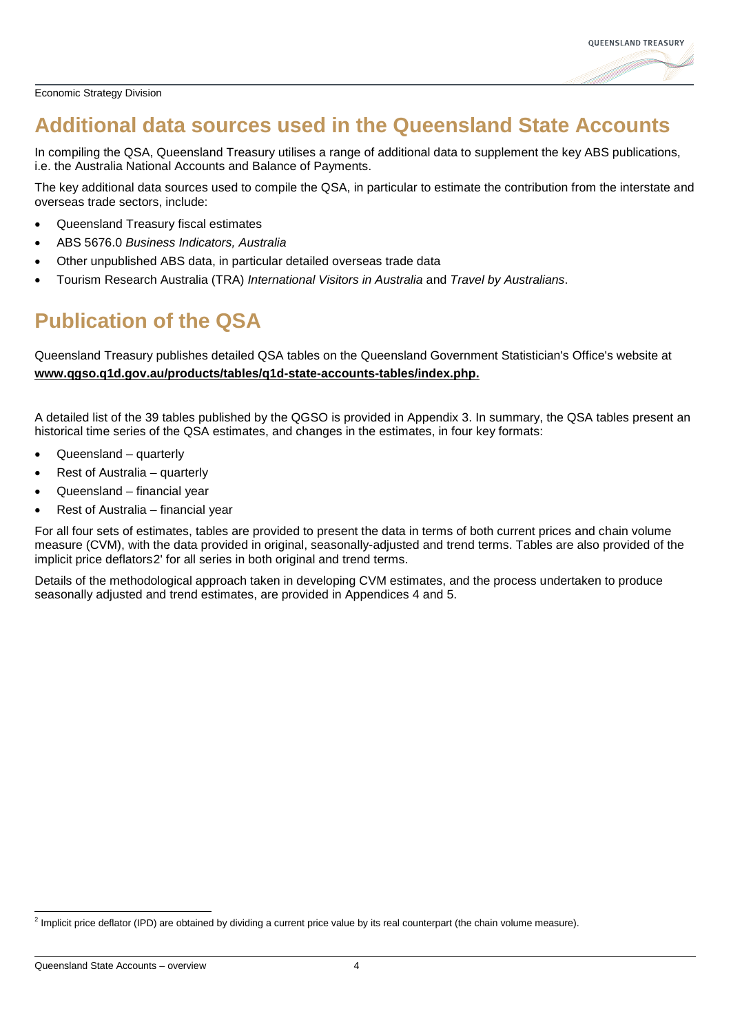

### <span id="page-6-0"></span>**Additional data sources used in the Queensland State Accounts**

In compiling the QSA, Queensland Treasury utilises a range of additional data to supplement the key ABS publications, i.e. the Australia National Accounts and Balance of Payments.

The key additional data sources used to compile the QSA, in particular to estimate the contribution from the interstate and overseas trade sectors, include:

- Queensland Treasury fiscal estimates
- ABS 5676.0 *Business Indicators, Australia*
- Other unpublished ABS data, in particular detailed overseas trade data
- Tourism Research Australia (TRA) *International Visitors in Australia* and *Travel by Australians*.

## <span id="page-6-1"></span>**Publication of the QSA**

Queensland Treasury publishes detailed QSA tables on the Queensland Government Statistician's Office's website at **[www.qgso.q1d.gov.au/products/tables/q1d-state-accounts-tables/index.php.](http://www.qgso.q1d.gov.au/products/tables/q1d-state-accounts-tables/index.php.)**

A detailed list of the 39 tables published by the QGSO is provided in Appendix 3. In summary, the QSA tables present an historical time series of the QSA estimates, and changes in the estimates, in four key formats:

- Queensland quarterly
- Rest of Australia quarterly
- Queensland financial year
- Rest of Australia financial year

For all four sets of estimates, tables are provided to present the data in terms of both current prices and chain volume measure (CVM), with the data provided in original, seasonally-adjusted and trend terms. Tables are also provided of the implicit price deflators[2](#page-3-4)' for all series in both original and trend terms.

Details of the methodological approach taken in developing CVM estimates, and the process undertaken to produce seasonally adjusted and trend estimates, are provided in Appendices 4 and 5.

<span id="page-6-2"></span> $<sup>2</sup>$  Implicit price deflator (IPD) are obtained by dividing a current price value by its real counterpart (the chain volume measure).</sup>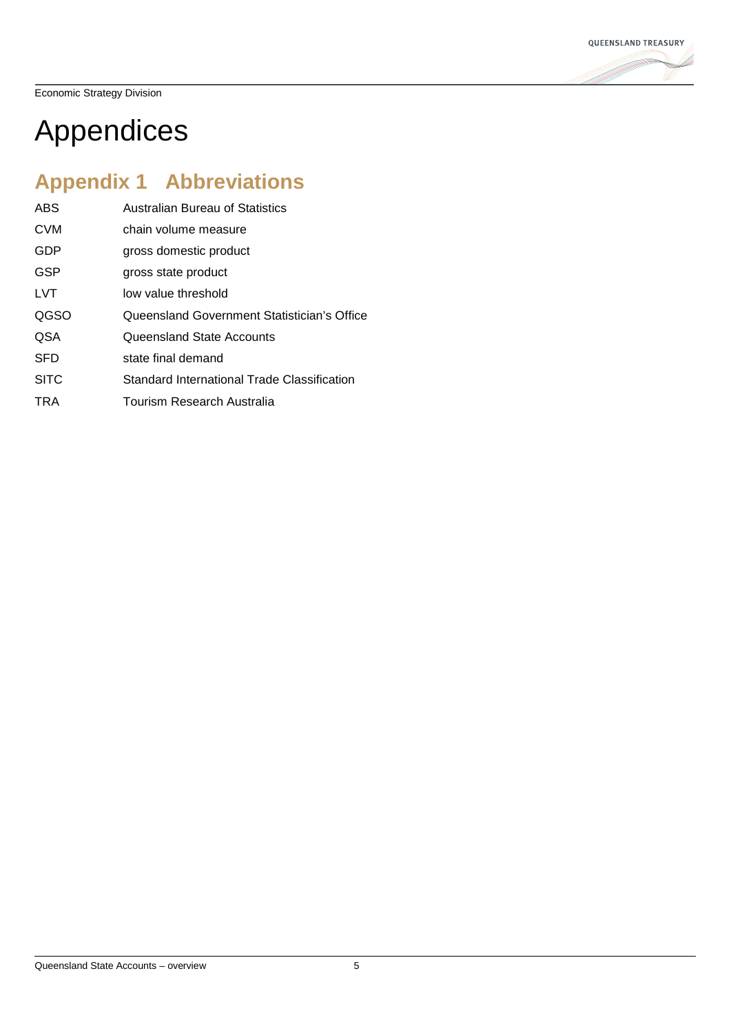

# <span id="page-7-0"></span>Appendices

## <span id="page-7-1"></span>**Appendix 1 Abbreviations**

| <b>ABS</b>  | <b>Australian Bureau of Statistics</b>      |
|-------------|---------------------------------------------|
| <b>CVM</b>  | chain volume measure                        |
| GDP         | gross domestic product                      |
| <b>GSP</b>  | gross state product                         |
| <b>LVT</b>  | low value threshold                         |
| QGSO        | Queensland Government Statistician's Office |
| <b>QSA</b>  | Queensland State Accounts                   |
| <b>SFD</b>  | state final demand                          |
| <b>SITC</b> | Standard International Trade Classification |
| TRA         | Tourism Research Australia                  |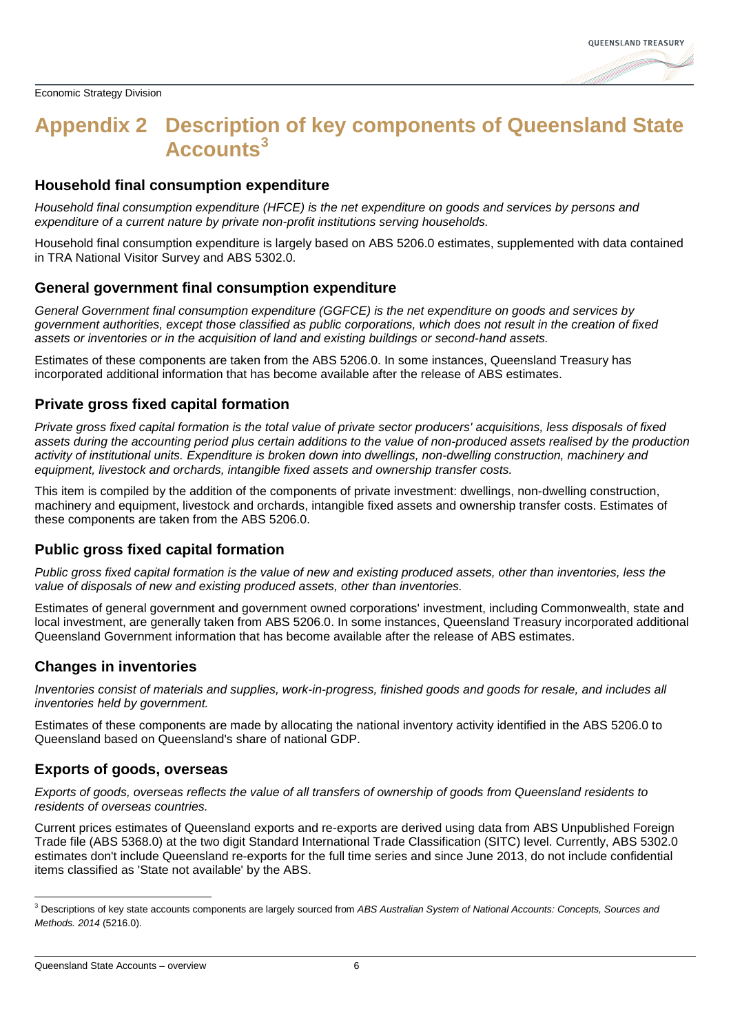### <span id="page-8-0"></span>**Appendix 2 Description of key components of Queensland State Accounts[3](#page-6-2)**

#### **Household final consumption expenditure**

*Household final consumption expenditure (HFCE) is the net expenditure on goods and services by persons and expenditure of a current nature by private non-profit institutions serving households.*

Household final consumption expenditure is largely based on ABS 5206.0 estimates, supplemented with data contained in TRA National Visitor Survey and ABS 5302.0.

#### **General government final consumption expenditure**

*General Government final consumption expenditure (GGFCE) is the net expenditure on goods and services by government authorities, except those classified as public corporations, which does not result in the creation of fixed assets or inventories or in the acquisition of land and existing buildings or second-hand assets.*

Estimates of these components are taken from the ABS 5206.0. In some instances, Queensland Treasury has incorporated additional information that has become available after the release of ABS estimates.

#### **Private gross fixed capital formation**

*Private gross fixed capital formation is the total value of private sector producers' acquisitions, less disposals of fixed assets during the accounting period plus certain additions to the value of non-produced assets realised by the production activity of institutional units. Expenditure is broken down into dwellings, non-dwelling construction, machinery and equipment, livestock and orchards, intangible fixed assets and ownership transfer costs.*

This item is compiled by the addition of the components of private investment: dwellings, non-dwelling construction, machinery and equipment, livestock and orchards, intangible fixed assets and ownership transfer costs. Estimates of these components are taken from the ABS 5206.0.

#### **Public gross fixed capital formation**

*Public gross fixed capital formation is the value of new and existing produced assets, other than inventories, less the value of disposals of new and existing produced assets, other than inventories.*

Estimates of general government and government owned corporations' investment, including Commonwealth, state and local investment, are generally taken from ABS 5206.0. In some instances, Queensland Treasury incorporated additional Queensland Government information that has become available after the release of ABS estimates.

#### **Changes in inventories**

*Inventories consist of materials and supplies, work-in-progress, finished goods and goods for resale, and includes all inventories held by government.*

Estimates of these components are made by allocating the national inventory activity identified in the ABS 5206.0 to Queensland based on Queensland's share of national GDP.

#### **Exports of goods, overseas**

*Exports of goods, overseas reflects the value of all transfers of ownership of goods from Queensland residents to residents of overseas countries.*

Current prices estimates of Queensland exports and re-exports are derived using data from ABS Unpublished Foreign Trade file (ABS 5368.0) at the two digit Standard International Trade Classification (SITC) level. Currently, ABS 5302.0 estimates don't include Queensland re-exports for the full time series and since June 2013, do not include confidential items classified as 'State not available' by the ABS.

 <sup>3</sup> Descriptions of key state accounts components are largely sourced from *ABS Australian System of National Accounts: Concepts, Sources and Methods. 2014* (5216.0).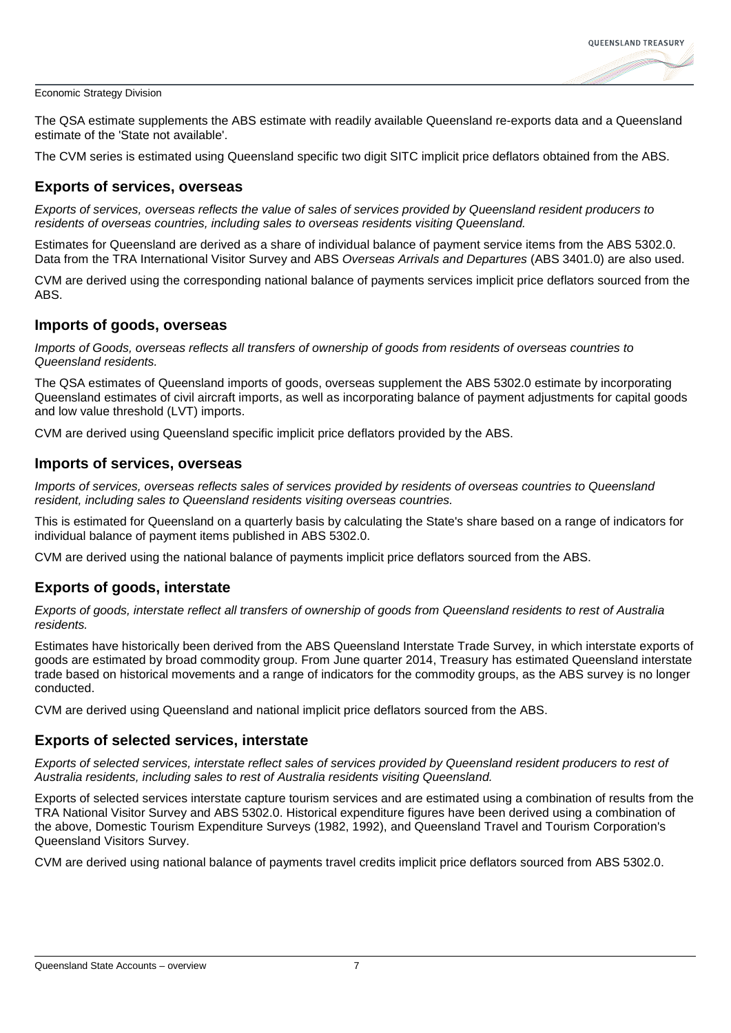

The QSA estimate supplements the ABS estimate with readily available Queensland re-exports data and a Queensland estimate of the 'State not available'.

The CVM series is estimated using Queensland specific two digit SITC implicit price deflators obtained from the ABS.

#### **Exports of services, overseas**

*Exports of services, overseas reflects the value of sales of services provided by Queensland resident producers to residents of overseas countries, including sales to overseas residents visiting Queensland.*

Estimates for Queensland are derived as a share of individual balance of payment service items from the ABS 5302.0. Data from the TRA International Visitor Survey and ABS *Overseas Arrivals and Departures* (ABS 3401.0) are also used.

CVM are derived using the corresponding national balance of payments services implicit price deflators sourced from the ABS.

#### **Imports of goods, overseas**

*Imports of Goods, overseas reflects all transfers of ownership of goods from residents of overseas countries to Queensland residents.*

The QSA estimates of Queensland imports of goods, overseas supplement the ABS 5302.0 estimate by incorporating Queensland estimates of civil aircraft imports, as well as incorporating balance of payment adjustments for capital goods and low value threshold (LVT) imports.

CVM are derived using Queensland specific implicit price deflators provided by the ABS.

#### **Imports of services, overseas**

*Imports of services, overseas reflects sales of services provided by residents of overseas countries to Queensland resident, including sales to Queensland residents visiting overseas countries.*

This is estimated for Queensland on a quarterly basis by calculating the State's share based on a range of indicators for individual balance of payment items published in ABS 5302.0.

CVM are derived using the national balance of payments implicit price deflators sourced from the ABS.

#### **Exports of goods, interstate**

*Exports of goods, interstate reflect all transfers of ownership of goods from Queensland residents to rest of Australia residents.*

Estimates have historically been derived from the ABS Queensland Interstate Trade Survey, in which interstate exports of goods are estimated by broad commodity group. From June quarter 2014, Treasury has estimated Queensland interstate trade based on historical movements and a range of indicators for the commodity groups, as the ABS survey is no longer conducted.

CVM are derived using Queensland and national implicit price deflators sourced from the ABS.

#### **Exports of selected services, interstate**

*Exports of selected services, interstate reflect sales of services provided by Queensland resident producers to rest of Australia residents, including sales to rest of Australia residents visiting Queensland.*

Exports of selected services interstate capture tourism services and are estimated using a combination of results from the TRA National Visitor Survey and ABS 5302.0. Historical expenditure figures have been derived using a combination of the above, Domestic Tourism Expenditure Surveys (1982, 1992), and Queensland Travel and Tourism Corporation's Queensland Visitors Survey.

CVM are derived using national balance of payments travel credits implicit price deflators sourced from ABS 5302.0.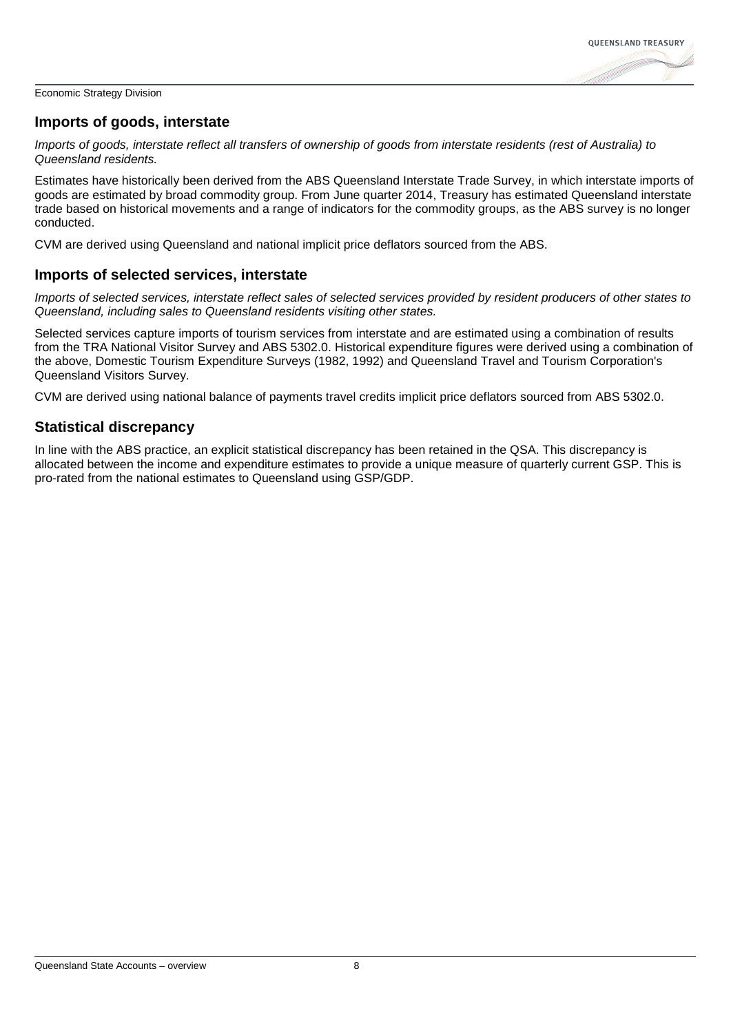

#### **Imports of goods, interstate**

*Imports of goods, interstate reflect all transfers of ownership of goods from interstate residents (rest of Australia) to Queensland residents.*

Estimates have historically been derived from the ABS Queensland Interstate Trade Survey, in which interstate imports of goods are estimated by broad commodity group. From June quarter 2014, Treasury has estimated Queensland interstate trade based on historical movements and a range of indicators for the commodity groups, as the ABS survey is no longer conducted.

CVM are derived using Queensland and national implicit price deflators sourced from the ABS.

#### **Imports of selected services, interstate**

*Imports of selected services, interstate reflect sales of selected services provided by resident producers of other states to Queensland, including sales to Queensland residents visiting other states.*

Selected services capture imports of tourism services from interstate and are estimated using a combination of results from the TRA National Visitor Survey and ABS 5302.0. Historical expenditure figures were derived using a combination of the above, Domestic Tourism Expenditure Surveys (1982, 1992) and Queensland Travel and Tourism Corporation's Queensland Visitors Survey.

CVM are derived using national balance of payments travel credits implicit price deflators sourced from ABS 5302.0.

#### **Statistical discrepancy**

In line with the ABS practice, an explicit statistical discrepancy has been retained in the QSA. This discrepancy is allocated between the income and expenditure estimates to provide a unique measure of quarterly current GSP. This is pro-rated from the national estimates to Queensland using GSP/GDP.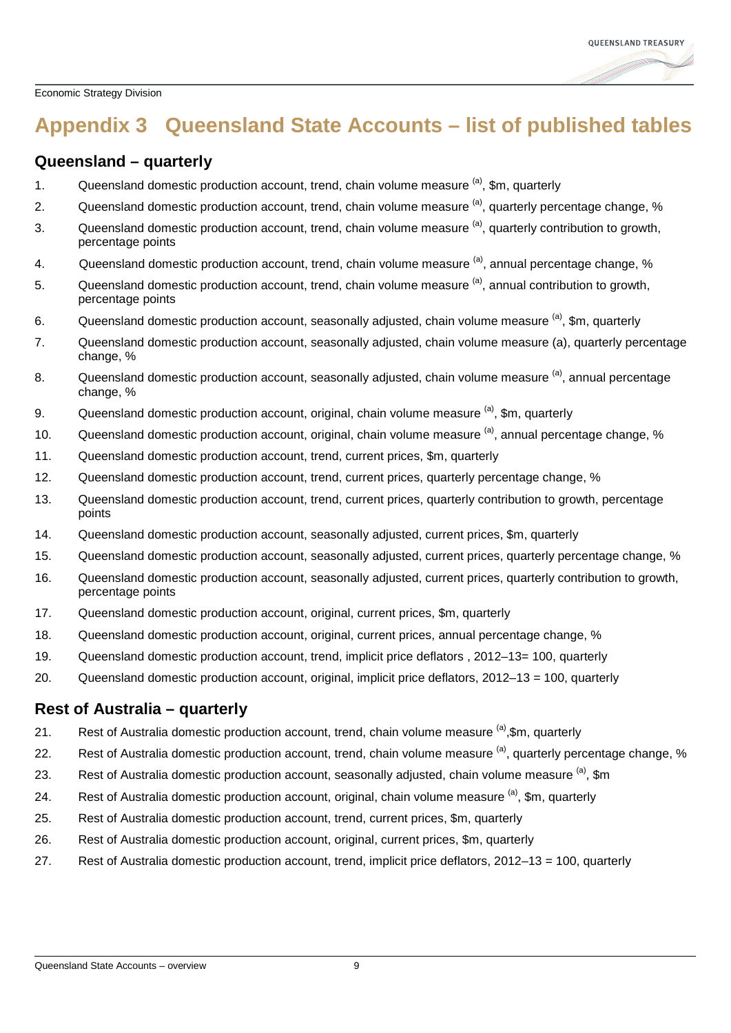

## <span id="page-11-0"></span>**Appendix 3 Queensland State Accounts – list of published tables**

#### **Queensland – quarterly**

- 1. Queensland domestic production account, trend, chain volume measure  $(a)$ , \$m, quarterly
- 2. Queensland domestic production account, trend, chain volume measure <sup>(a)</sup>, quarterly percentage change, %
- 3. Queensland domestic production account, trend, chain volume measure <sup>(a)</sup>, quarterly contribution to growth, percentage points
- 4. Queensland domestic production account, trend, chain volume measure <sup>(a)</sup>, annual percentage change, %
- 5. Queensland domestic production account, trend, chain volume measure <sup>(a)</sup>, annual contribution to growth, percentage points
- 6. Queensland domestic production account, seasonally adiusted, chain volume measure <sup>(a)</sup>, \$m, quarterly
- 7. Queensland domestic production account, seasonally adjusted, chain volume measure (a), quarterly percentage change, %
- 8. Queensland domestic production account, seasonally adiusted, chain volume measure <sup>(a)</sup>, annual percentage change, %
- 9. Queensland domestic production account, original, chain volume measure  $(a)$ ,  $\sin a$  quarterly
- 10. Queensland domestic production account, original, chain volume measure <sup>(a)</sup>, annual percentage change, %
- 11. Queensland domestic production account, trend, current prices, \$m, quarterly
- 12. Queensland domestic production account, trend, current prices, quarterly percentage change, %
- 13. Queensland domestic production account, trend, current prices, quarterly contribution to growth, percentage points
- 14. Queensland domestic production account, seasonally adjusted, current prices, \$m, quarterly
- 15. Queensland domestic production account, seasonally adjusted, current prices, quarterly percentage change, %
- 16. Queensland domestic production account, seasonally adjusted, current prices, quarterly contribution to growth, percentage points
- 17. Queensland domestic production account, original, current prices, \$m, quarterly
- 18. Queensland domestic production account, original, current prices, annual percentage change, %
- 19. Queensland domestic production account, trend, implicit price deflators , 2012–13= 100, quarterly
- 20. Queensland domestic production account, original, implicit price deflators, 2012–13 = 100, quarterly

#### **Rest of Australia – quarterly**

- 21. Rest of Australia domestic production account, trend, chain volume measure (a), \$m, quarterly
- 22. Rest of Australia domestic production account, trend, chain volume measure <sup>(a)</sup>, quarterly percentage change, %
- 23. Rest of Australia domestic production account, seasonally adjusted, chain volume measure <sup>(a)</sup>, \$m
- 24. Rest of Australia domestic production account, original, chain volume measure  $\alpha$ , \$m, quarterly
- 25. Rest of Australia domestic production account, trend, current prices, \$m, quarterly
- 26. Rest of Australia domestic production account, original, current prices, \$m, quarterly
- 27. Rest of Australia domestic production account, trend, implicit price deflators, 2012–13 = 100, quarterly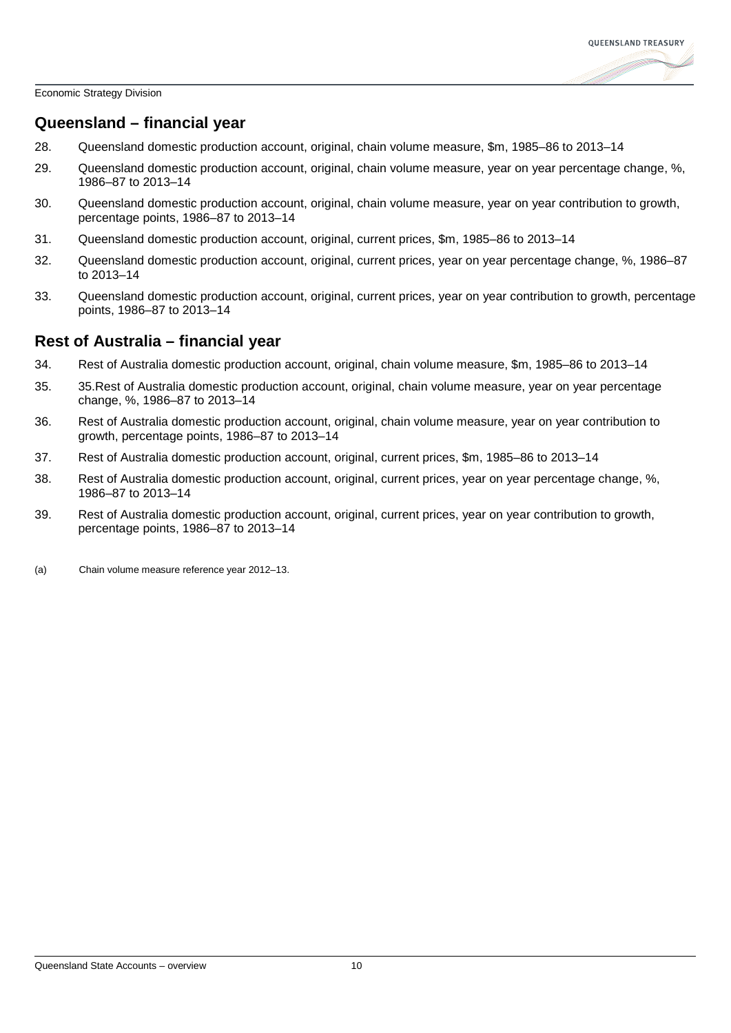

#### **Queensland – financial year**

- 28. Queensland domestic production account, original, chain volume measure, \$m, 1985–86 to 2013–14
- 29. Queensland domestic production account, original, chain volume measure, year on year percentage change, %, 1986–87 to 2013–14
- 30. Queensland domestic production account, original, chain volume measure, year on year contribution to growth, percentage points, 1986–87 to 2013–14
- 31. Queensland domestic production account, original, current prices, \$m, 1985–86 to 2013–14
- 32. Queensland domestic production account, original, current prices, year on year percentage change, %, 1986–87 to 2013–14
- 33. Queensland domestic production account, original, current prices, year on year contribution to growth, percentage points, 1986–87 to 2013–14

#### **Rest of Australia – financial year**

- 34. Rest of Australia domestic production account, original, chain volume measure, \$m, 1985–86 to 2013–14
- 35. 35.Rest of Australia domestic production account, original, chain volume measure, year on year percentage change, %, 1986–87 to 2013–14
- 36. Rest of Australia domestic production account, original, chain volume measure, year on year contribution to growth, percentage points, 1986–87 to 2013–14
- 37. Rest of Australia domestic production account, original, current prices, \$m, 1985–86 to 2013–14
- 38. Rest of Australia domestic production account, original, current prices, year on year percentage change, %, 1986–87 to 2013–14
- 39. Rest of Australia domestic production account, original, current prices, year on year contribution to growth, percentage points, 1986–87 to 2013–14

(a) Chain volume measure reference year 2012–13.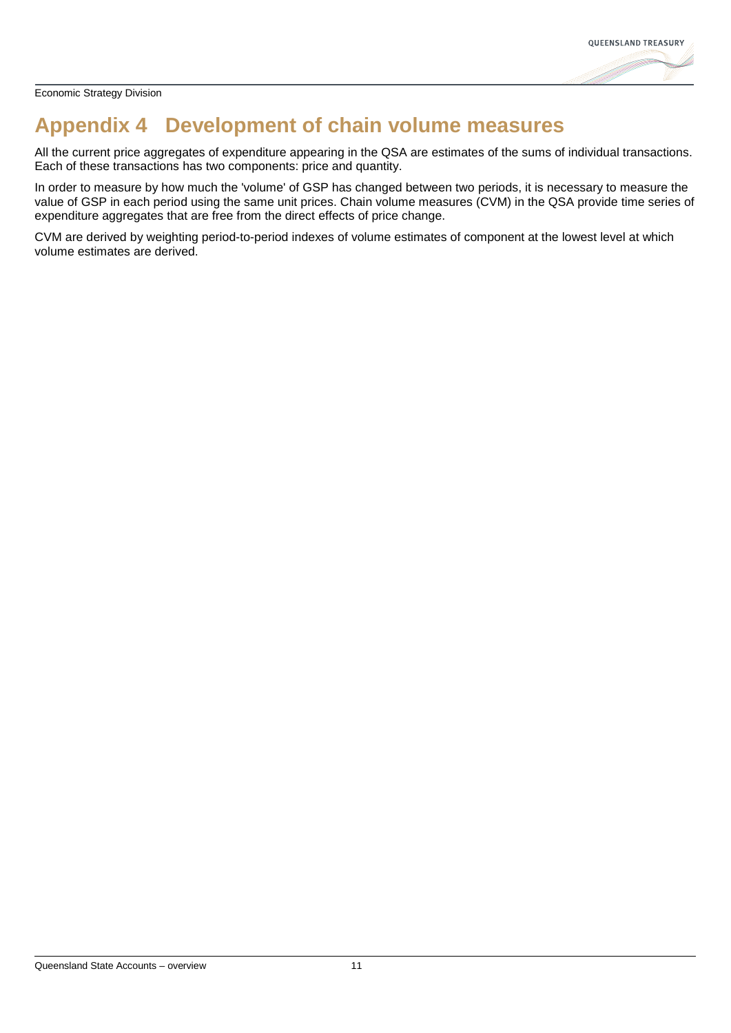

## <span id="page-13-0"></span>**Appendix 4 Development of chain volume measures**

All the current price aggregates of expenditure appearing in the QSA are estimates of the sums of individual transactions. Each of these transactions has two components: price and quantity.

In order to measure by how much the 'volume' of GSP has changed between two periods, it is necessary to measure the value of GSP in each period using the same unit prices. Chain volume measures (CVM) in the QSA provide time series of expenditure aggregates that are free from the direct effects of price change.

CVM are derived by weighting period-to-period indexes of volume estimates of component at the lowest level at which volume estimates are derived.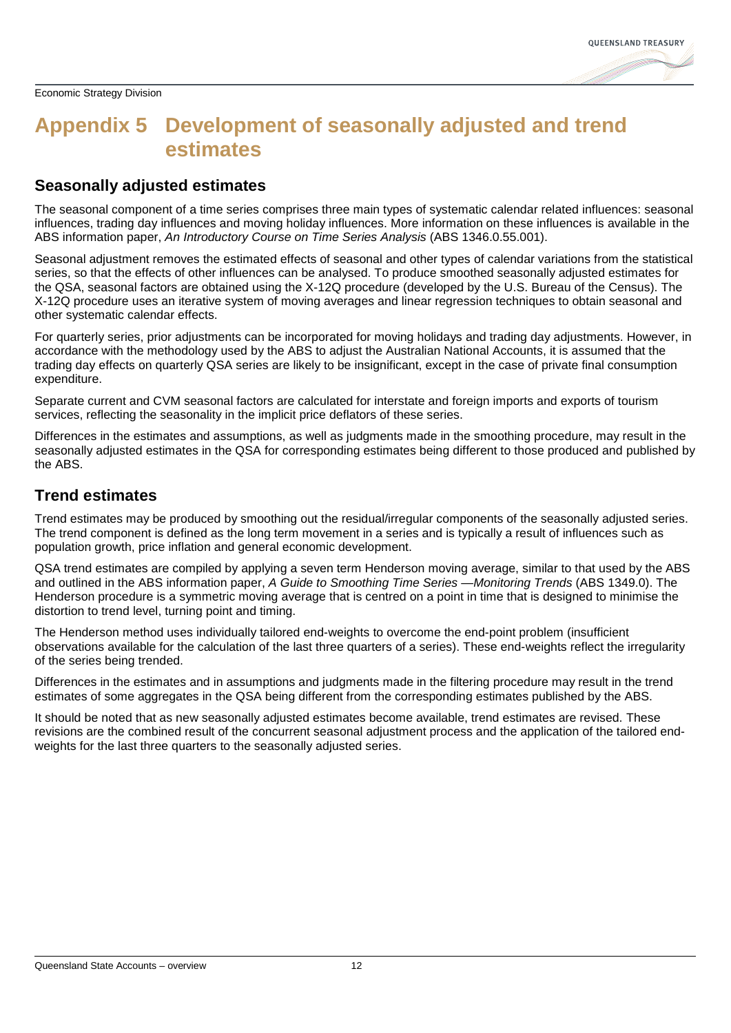

### <span id="page-14-0"></span>**Appendix 5 Development of seasonally adjusted and trend estimates**

### **Seasonally adjusted estimates**

The seasonal component of a time series comprises three main types of systematic calendar related influences: seasonal influences, trading day influences and moving holiday influences. More information on these influences is available in the ABS information paper, *An Introductory Course on Time Series Analysis* (ABS 1346.0.55.001).

Seasonal adjustment removes the estimated effects of seasonal and other types of calendar variations from the statistical series, so that the effects of other influences can be analysed. To produce smoothed seasonally adjusted estimates for the QSA, seasonal factors are obtained using the X-12Q procedure (developed by the U.S. Bureau of the Census). The X-12Q procedure uses an iterative system of moving averages and linear regression techniques to obtain seasonal and other systematic calendar effects.

For quarterly series, prior adjustments can be incorporated for moving holidays and trading day adjustments. However, in accordance with the methodology used by the ABS to adjust the Australian National Accounts, it is assumed that the trading day effects on quarterly QSA series are likely to be insignificant, except in the case of private final consumption expenditure.

Separate current and CVM seasonal factors are calculated for interstate and foreign imports and exports of tourism services, reflecting the seasonality in the implicit price deflators of these series.

Differences in the estimates and assumptions, as well as judgments made in the smoothing procedure, may result in the seasonally adjusted estimates in the QSA for corresponding estimates being different to those produced and published by the ABS.

#### **Trend estimates**

Trend estimates may be produced by smoothing out the residual/irregular components of the seasonally adjusted series. The trend component is defined as the long term movement in a series and is typically a result of influences such as population growth, price inflation and general economic development.

QSA trend estimates are compiled by applying a seven term Henderson moving average, similar to that used by the ABS and outlined in the ABS information paper, *A Guide to Smoothing Time Series —Monitoring Trends* (ABS 1349.0). The Henderson procedure is a symmetric moving average that is centred on a point in time that is designed to minimise the distortion to trend level, turning point and timing.

The Henderson method uses individually tailored end-weights to overcome the end-point problem (insufficient observations available for the calculation of the last three quarters of a series). These end-weights reflect the irregularity of the series being trended.

Differences in the estimates and in assumptions and judgments made in the filtering procedure may result in the trend estimates of some aggregates in the QSA being different from the corresponding estimates published by the ABS.

It should be noted that as new seasonally adjusted estimates become available, trend estimates are revised. These revisions are the combined result of the concurrent seasonal adjustment process and the application of the tailored endweights for the last three quarters to the seasonally adjusted series.